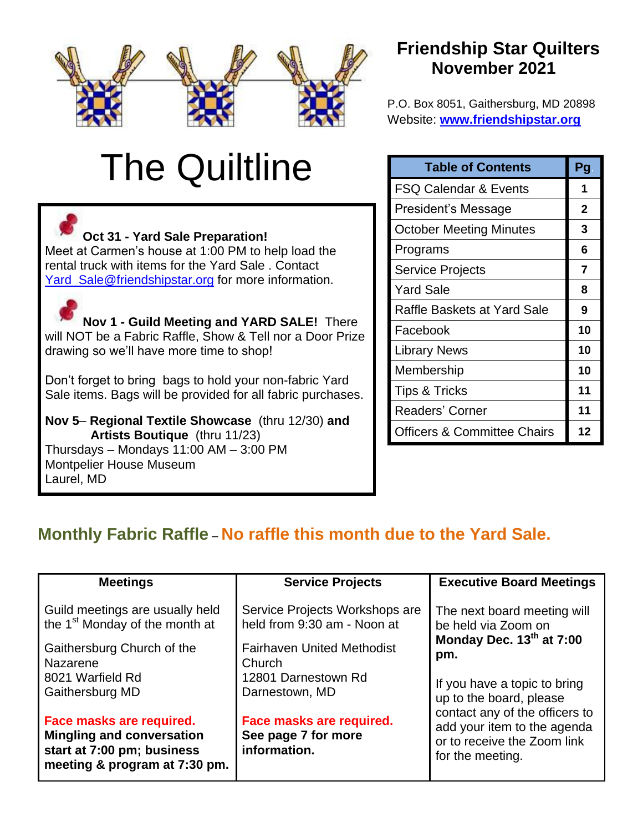

# The Quiltline

**Oct 31 - Yard Sale Preparation!** Meet at Carmen's house at 1:00 PM to help load the rental truck with items for the Yard Sale . Contact Yard Sale@friendshipstar.org for more information.

**Nov 1 - Guild Meeting and YARD SALE!** There will NOT be a Fabric Raffle, Show & Tell nor a Door Prize drawing so we'll have more time to shop!

Don't forget to bring bags to hold your non-fabric Yard Sale items. Bags will be provided for all fabric purchases.

**Nov 5**– **Regional Textile Showcase** (thru 12/30) **and Artists Boutique** (thru 11/23) Thursdays – Mondays 11:00 AM – 3:00 PM Montpelier House Museum Laurel, MD

# **Friendship Star Quilters November 2021**

P.O. Box 8051, Gaithersburg, MD 20898 Website: **[www.friendshipstar.org](http://www.friendshipstar.org/)**

| <b>Table of Contents</b>               | Pg           |
|----------------------------------------|--------------|
| FSQ Calendar & Events                  | 1            |
| President's Message                    | $\mathbf{2}$ |
| October Meeting Minutes                | 3            |
| Programs                               | 6            |
| Service Projects                       | 7            |
| <b>Yard Sale</b>                       | 8            |
| Raffle Baskets at Yard Sale            | 9            |
| Facebook                               | 10           |
| <b>Library News</b>                    | 10           |
| Membership                             | 10           |
| <b>Tips &amp; Tricks</b>               | 11           |
| Readers' Corner                        | 11           |
| <b>Officers &amp; Committee Chairs</b> | 12           |

# **Monthly Fabric Raffle** – **No raffle this month due to the Yard Sale.**

| <b>Meetings</b>                                                                                                             | <b>Service Projects</b>                                         | <b>Executive Board Meetings</b>                                                                                  |  |
|-----------------------------------------------------------------------------------------------------------------------------|-----------------------------------------------------------------|------------------------------------------------------------------------------------------------------------------|--|
| Guild meetings are usually held                                                                                             | Service Projects Workshops are                                  | The next board meeting will                                                                                      |  |
| the 1 <sup>st</sup> Monday of the month at                                                                                  | held from 9:30 am - Noon at                                     | be held via Zoom on                                                                                              |  |
| Gaithersburg Church of the                                                                                                  | <b>Fairhaven United Methodist</b>                               | Monday Dec. 13th at 7:00                                                                                         |  |
| Nazarene                                                                                                                    | Church                                                          | pm.                                                                                                              |  |
| 8021 Warfield Rd                                                                                                            | 12801 Darnestown Rd                                             | If you have a topic to bring                                                                                     |  |
| Gaithersburg MD                                                                                                             | Darnestown, MD                                                  | up to the board, please                                                                                          |  |
| Face masks are required.<br><b>Mingling and conversation</b><br>start at 7:00 pm; business<br>meeting & program at 7:30 pm. | Face masks are required.<br>See page 7 for more<br>information. | contact any of the officers to<br>add your item to the agenda<br>or to receive the Zoom link<br>for the meeting. |  |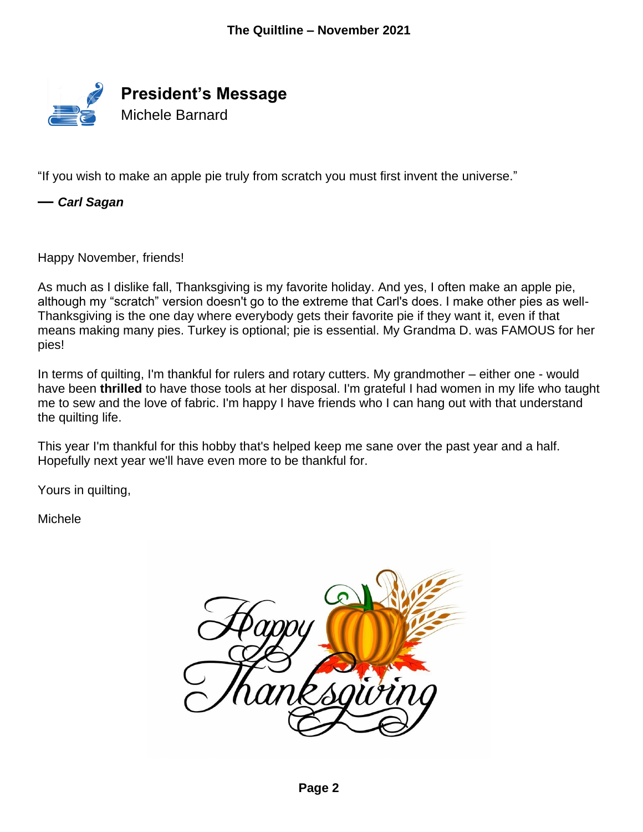

"If you wish to make an apple pie truly from scratch you must first invent the universe."

*— Carl Sagan*

Happy November, friends!

As much as I dislike fall, Thanksgiving is my favorite holiday. And yes, I often make an apple pie, although my "scratch" version doesn't go to the extreme that Carl's does. I make other pies as well-Thanksgiving is the one day where everybody gets their favorite pie if they want it, even if that means making many pies. Turkey is optional; pie is essential. My Grandma D. was FAMOUS for her pies!

In terms of quilting, I'm thankful for rulers and rotary cutters. My grandmother – either one - would have been **thrilled** to have those tools at her disposal. I'm grateful I had women in my life who taught me to sew and the love of fabric. I'm happy I have friends who I can hang out with that understand the quilting life.

This year I'm thankful for this hobby that's helped keep me sane over the past year and a half. Hopefully next year we'll have even more to be thankful for.

Yours in quilting,

Michele

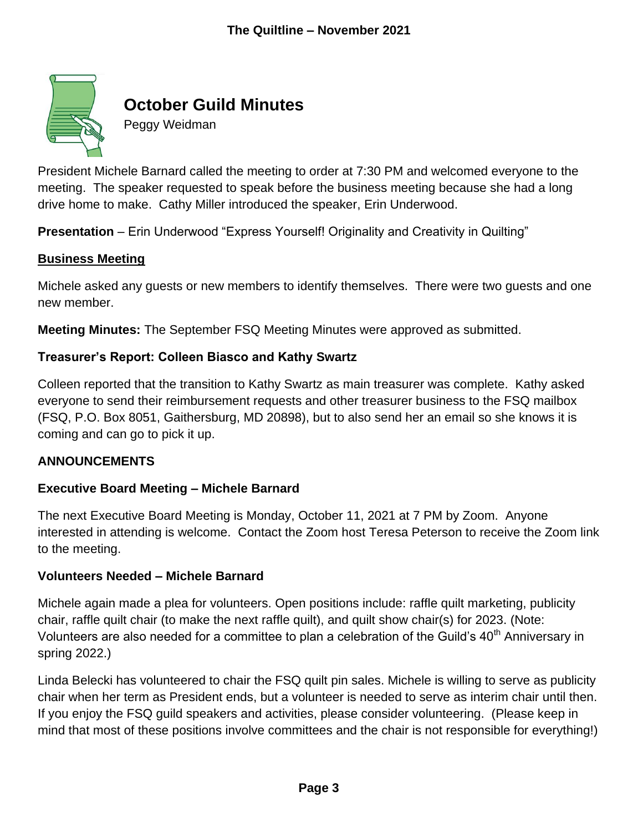

# **October Guild Minutes**

Peggy Weidman

President Michele Barnard called the meeting to order at 7:30 PM and welcomed everyone to the meeting. The speaker requested to speak before the business meeting because she had a long drive home to make. Cathy Miller introduced the speaker, Erin Underwood.

**Presentation** – Erin Underwood "Express Yourself! Originality and Creativity in Quilting"

#### **Business Meeting**

Michele asked any guests or new members to identify themselves. There were two guests and one new member.

**Meeting Minutes:** The September FSQ Meeting Minutes were approved as submitted.

#### **Treasurer's Report: Colleen Biasco and Kathy Swartz**

Colleen reported that the transition to Kathy Swartz as main treasurer was complete. Kathy asked everyone to send their reimbursement requests and other treasurer business to the FSQ mailbox (FSQ, P.O. Box 8051, Gaithersburg, MD 20898), but to also send her an email so she knows it is coming and can go to pick it up.

#### **ANNOUNCEMENTS**

#### **Executive Board Meeting – Michele Barnard**

The next Executive Board Meeting is Monday, October 11, 2021 at 7 PM by Zoom. Anyone interested in attending is welcome. Contact the Zoom host Teresa Peterson to receive the Zoom link to the meeting.

#### **Volunteers Needed – Michele Barnard**

Michele again made a plea for volunteers. Open positions include: raffle quilt marketing, publicity chair, raffle quilt chair (to make the next raffle quilt), and quilt show chair(s) for 2023. (Note: Volunteers are also needed for a committee to plan a celebration of the Guild's 40<sup>th</sup> Anniversary in spring 2022.)

Linda Belecki has volunteered to chair the FSQ quilt pin sales. Michele is willing to serve as publicity chair when her term as President ends, but a volunteer is needed to serve as interim chair until then. If you enjoy the FSQ guild speakers and activities, please consider volunteering. (Please keep in mind that most of these positions involve committees and the chair is not responsible for everything!)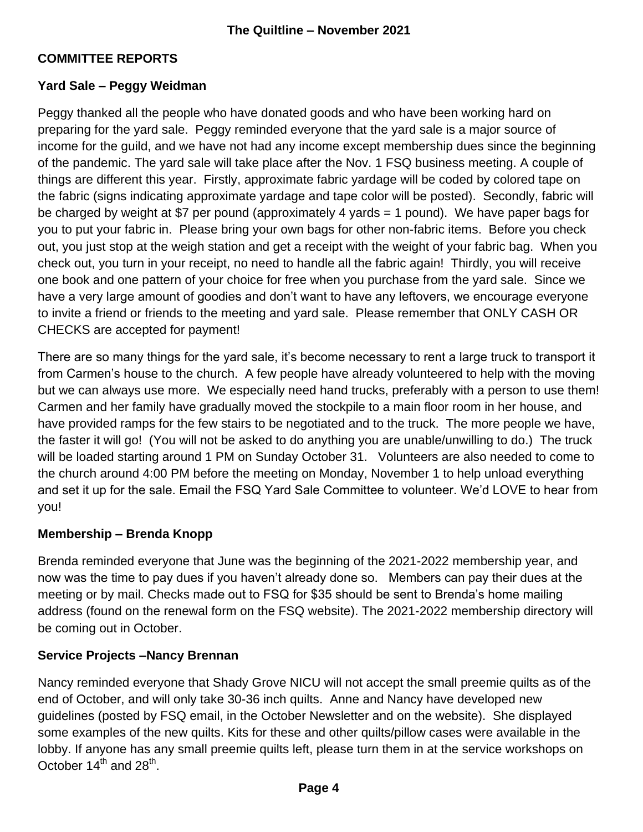## **COMMITTEE REPORTS**

#### **Yard Sale – Peggy Weidman**

Peggy thanked all the people who have donated goods and who have been working hard on preparing for the yard sale. Peggy reminded everyone that the yard sale is a major source of income for the guild, and we have not had any income except membership dues since the beginning of the pandemic. The yard sale will take place after the Nov. 1 FSQ business meeting. A couple of things are different this year. Firstly, approximate fabric yardage will be coded by colored tape on the fabric (signs indicating approximate yardage and tape color will be posted). Secondly, fabric will be charged by weight at \$7 per pound (approximately 4 yards = 1 pound). We have paper bags for you to put your fabric in. Please bring your own bags for other non-fabric items. Before you check out, you just stop at the weigh station and get a receipt with the weight of your fabric bag. When you check out, you turn in your receipt, no need to handle all the fabric again! Thirdly, you will receive one book and one pattern of your choice for free when you purchase from the yard sale. Since we have a very large amount of goodies and don't want to have any leftovers, we encourage everyone to invite a friend or friends to the meeting and yard sale. Please remember that ONLY CASH OR CHECKS are accepted for payment!

There are so many things for the yard sale, it's become necessary to rent a large truck to transport it from Carmen's house to the church. A few people have already volunteered to help with the moving but we can always use more. We especially need hand trucks, preferably with a person to use them! Carmen and her family have gradually moved the stockpile to a main floor room in her house, and have provided ramps for the few stairs to be negotiated and to the truck. The more people we have, the faster it will go! (You will not be asked to do anything you are unable/unwilling to do.) The truck will be loaded starting around 1 PM on Sunday October 31. Volunteers are also needed to come to the church around 4:00 PM before the meeting on Monday, November 1 to help unload everything and set it up for the sale. Email the FSQ Yard Sale Committee to volunteer. We'd LOVE to hear from you!

#### **Membership – Brenda Knopp**

Brenda reminded everyone that June was the beginning of the 2021-2022 membership year, and now was the time to pay dues if you haven't already done so. Members can pay their dues at the meeting or by mail. Checks made out to FSQ for \$35 should be sent to Brenda's home mailing address (found on the renewal form on the FSQ website). The 2021-2022 membership directory will be coming out in October.

#### **Service Projects –Nancy Brennan**

Nancy reminded everyone that Shady Grove NICU will not accept the small preemie quilts as of the end of October, and will only take 30-36 inch quilts. Anne and Nancy have developed new guidelines (posted by FSQ email, in the October Newsletter and on the website). She displayed some examples of the new quilts. Kits for these and other quilts/pillow cases were available in the lobby. If anyone has any small preemie quilts left, please turn them in at the service workshops on October 14<sup>th</sup> and 28<sup>th</sup>.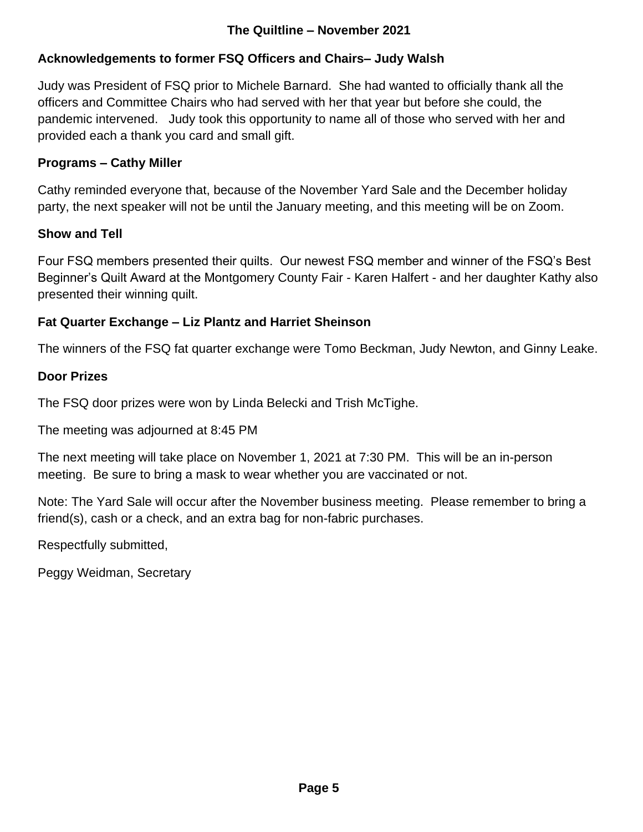## **The Quiltline – November 2021**

## **Acknowledgements to former FSQ Officers and Chairs– Judy Walsh**

Judy was President of FSQ prior to Michele Barnard. She had wanted to officially thank all the officers and Committee Chairs who had served with her that year but before she could, the pandemic intervened. Judy took this opportunity to name all of those who served with her and provided each a thank you card and small gift.

#### **Programs – Cathy Miller**

Cathy reminded everyone that, because of the November Yard Sale and the December holiday party, the next speaker will not be until the January meeting, and this meeting will be on Zoom.

#### **Show and Tell**

Four FSQ members presented their quilts. Our newest FSQ member and winner of the FSQ's Best Beginner's Quilt Award at the Montgomery County Fair - Karen Halfert - and her daughter Kathy also presented their winning quilt.

#### **Fat Quarter Exchange – Liz Plantz and Harriet Sheinson**

The winners of the FSQ fat quarter exchange were Tomo Beckman, Judy Newton, and Ginny Leake.

#### **Door Prizes**

The FSQ door prizes were won by Linda Belecki and Trish McTighe.

The meeting was adjourned at 8:45 PM

The next meeting will take place on November 1, 2021 at 7:30 PM. This will be an in-person meeting. Be sure to bring a mask to wear whether you are vaccinated or not.

Note: The Yard Sale will occur after the November business meeting. Please remember to bring a friend(s), cash or a check, and an extra bag for non-fabric purchases.

Respectfully submitted,

Peggy Weidman, Secretary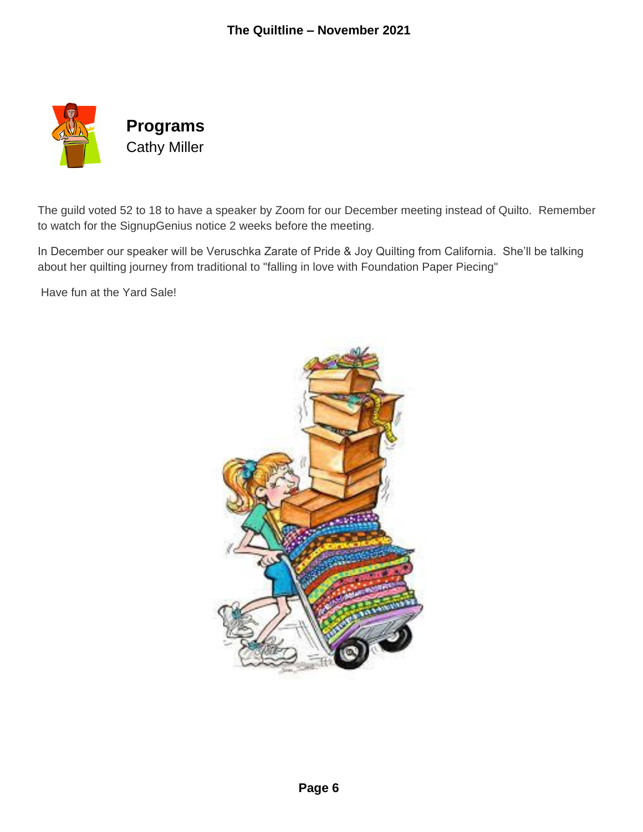

The guild voted 52 to 18 to have a speaker by Zoom for our December meeting instead of Quilto. Remember to watch for the SignupGenius notice 2 weeks before the meeting.

In December our speaker will be Veruschka Zarate of Pride & Joy Quilting from California. She'll be talking about her quilting journey from traditional to "falling in love with Foundation Paper Piecing"

Have fun at the Yard Sale!

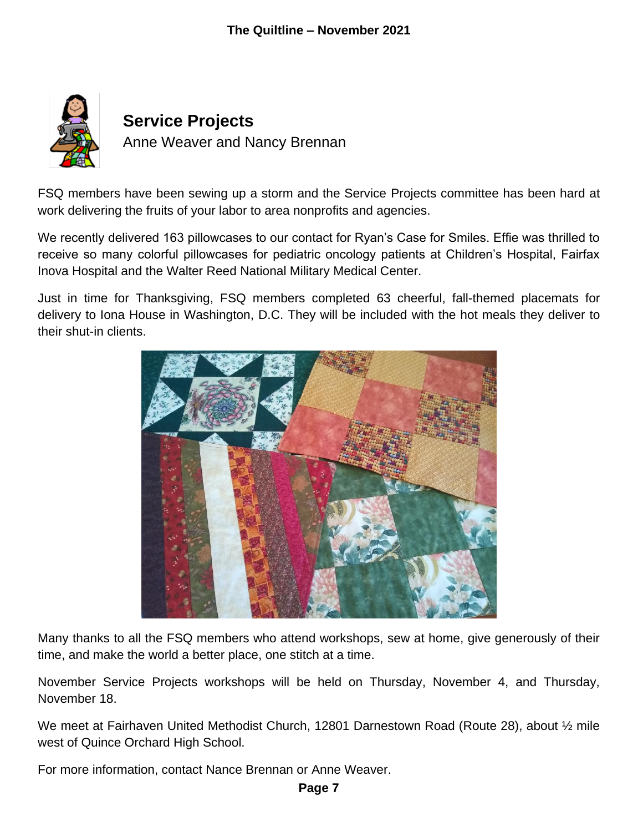

FSQ members have been sewing up a storm and the Service Projects committee has been hard at work delivering the fruits of your labor to area nonprofits and agencies.

We recently delivered 163 pillowcases to our contact for Ryan's Case for Smiles. Effie was thrilled to receive so many colorful pillowcases for pediatric oncology patients at Children's Hospital, Fairfax Inova Hospital and the Walter Reed National Military Medical Center.

Just in time for Thanksgiving, FSQ members completed 63 cheerful, fall-themed placemats for delivery to Iona House in Washington, D.C. They will be included with the hot meals they deliver to their shut-in clients.



Many thanks to all the FSQ members who attend workshops, sew at home, give generously of their time, and make the world a better place, one stitch at a time.

November Service Projects workshops will be held on Thursday, November 4, and Thursday, November 18.

We meet at Fairhaven United Methodist Church, 12801 Darnestown Road (Route 28), about 1/2 mile west of Quince Orchard High School.

For more information, contact Nance Brennan or Anne Weaver.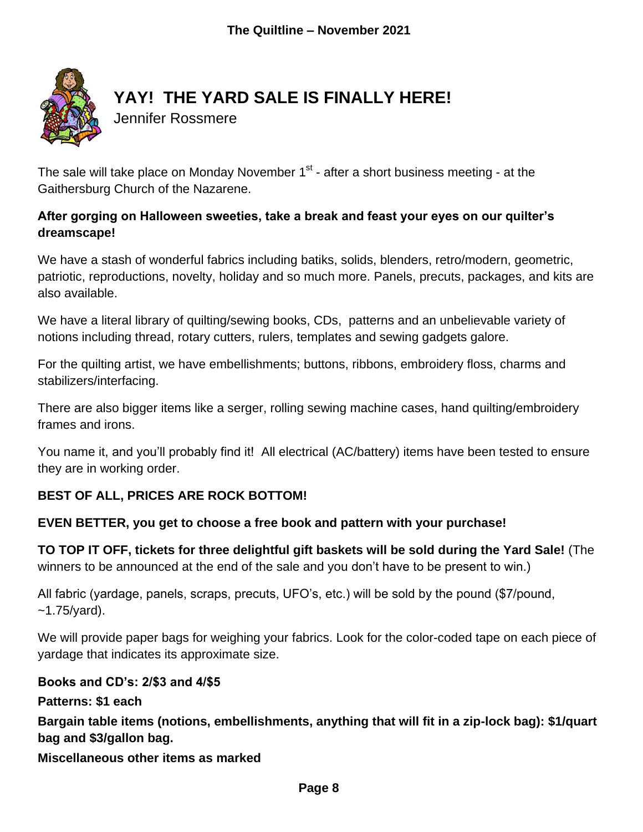

# **YAY! THE YARD SALE IS FINALLY HERE!**

Jennifer Rossmere

The sale will take place on Monday November  $1^\text{st}$  - after a short business meeting - at the Gaithersburg Church of the Nazarene.

## **After gorging on Halloween sweeties, take a break and feast your eyes on our quilter's dreamscape!**

We have a stash of wonderful fabrics including batiks, solids, blenders, retro/modern, geometric, patriotic, reproductions, novelty, holiday and so much more. Panels, precuts, packages, and kits are also available.

We have a literal library of quilting/sewing books, CDs, patterns and an unbelievable variety of notions including thread, rotary cutters, rulers, templates and sewing gadgets galore.

For the quilting artist, we have embellishments; buttons, ribbons, embroidery floss, charms and stabilizers/interfacing.

There are also bigger items like a serger, rolling sewing machine cases, hand quilting/embroidery frames and irons.

You name it, and you'll probably find it! All electrical (AC/battery) items have been tested to ensure they are in working order.

## **BEST OF ALL, PRICES ARE ROCK BOTTOM!**

#### **EVEN BETTER, you get to choose a free book and pattern with your purchase!**

**TO TOP IT OFF, tickets for three delightful gift baskets will be sold during the Yard Sale!** (The winners to be announced at the end of the sale and you don't have to be present to win.)

All fabric (yardage, panels, scraps, precuts, UFO's, etc.) will be sold by the pound (\$7/pound,  $-1.75$ /yard).

We will provide paper bags for weighing your fabrics. Look for the color-coded tape on each piece of yardage that indicates its approximate size.

#### **Books and CD's: 2/\$3 and 4/\$5**

**Patterns: \$1 each**

**Bargain table items (notions, embellishments, anything that will fit in a zip-lock bag): \$1/quart bag and \$3/gallon bag.** 

**Miscellaneous other items as marked**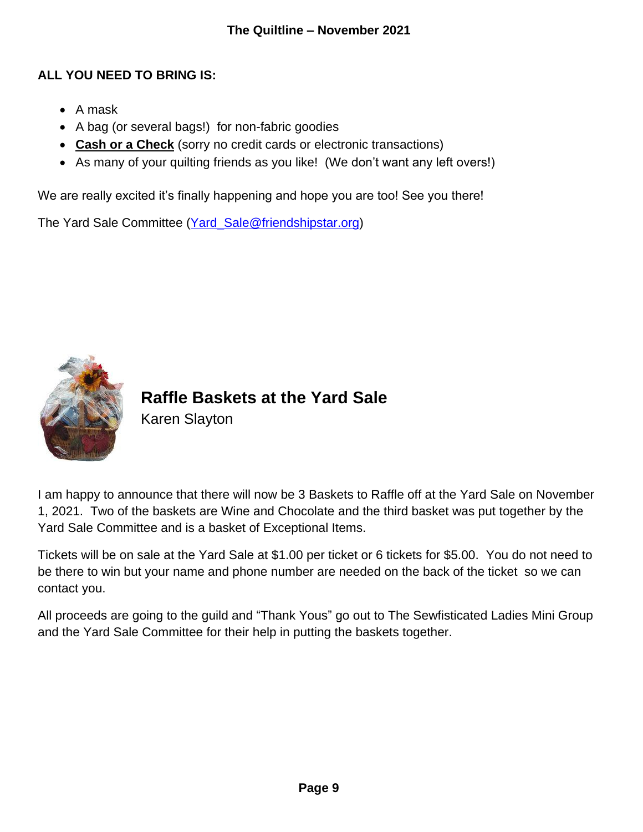## **ALL YOU NEED TO BRING IS:**

- $\bullet$  A mask
- A bag (or several bags!) for non-fabric goodies
- **Cash or a Check** (sorry no credit cards or electronic transactions)
- As many of your quilting friends as you like! (We don't want any left overs!)

We are really excited it's finally happening and hope you are too! See you there!

The Yard Sale Committee [\(Yard\\_Sale@friendshipstar.org\)](mailto:Yard_Sale@friendshipstar.org)



**Raffle Baskets at the Yard Sale** Karen Slayton

I am happy to announce that there will now be 3 Baskets to Raffle off at the Yard Sale on November 1, 2021. Two of the baskets are Wine and Chocolate and the third basket was put together by the Yard Sale Committee and is a basket of Exceptional Items.

Tickets will be on sale at the Yard Sale at \$1.00 per ticket or 6 tickets for \$5.00. You do not need to be there to win but your name and phone number are needed on the back of the ticket so we can contact you.

All proceeds are going to the guild and "Thank Yous" go out to The Sewfisticated Ladies Mini Group and the Yard Sale Committee for their help in putting the baskets together.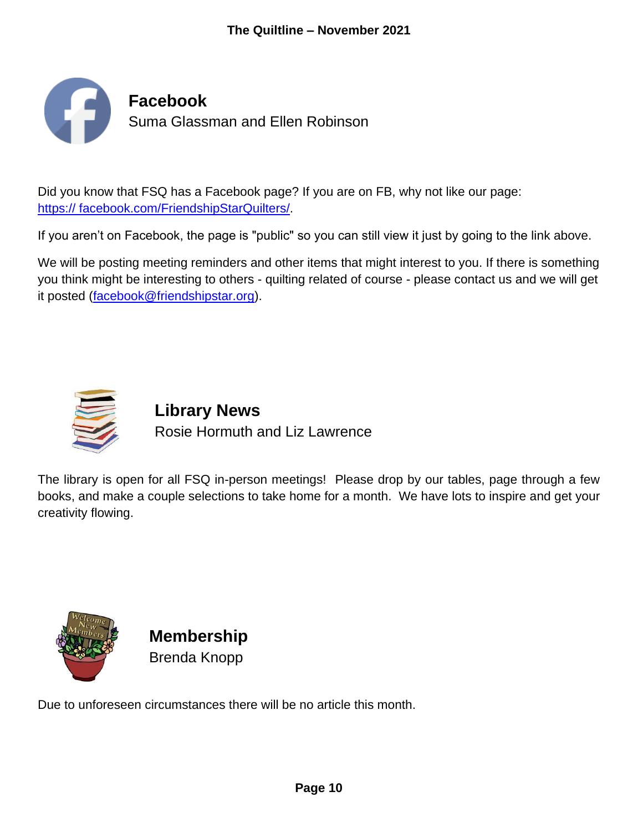

Did you know that FSQ has a Facebook page? If you are on FB, why not like our page: [https:// facebook.com/FriendshipStarQuilters/.](http://www.facebook.com/FriendshipStarQuilters/)

If you aren't on Facebook, the page is "public" so you can still view it just by going to the link above.

We will be posting meeting reminders and other items that might interest to you. If there is something you think might be interesting to others - quilting related of course - please contact us and we will get it posted [\(facebook@friendshipstar.org\)](mailto:facebook@friendshipstar.org).



# **Library News** Rosie Hormuth and Liz Lawrence

The library is open for all FSQ in-person meetings! Please drop by our tables, page through a few books, and make a couple selections to take home for a month. We have lots to inspire and get your creativity flowing.



**Membership** Brenda Knopp

Due to unforeseen circumstances there will be no article this month.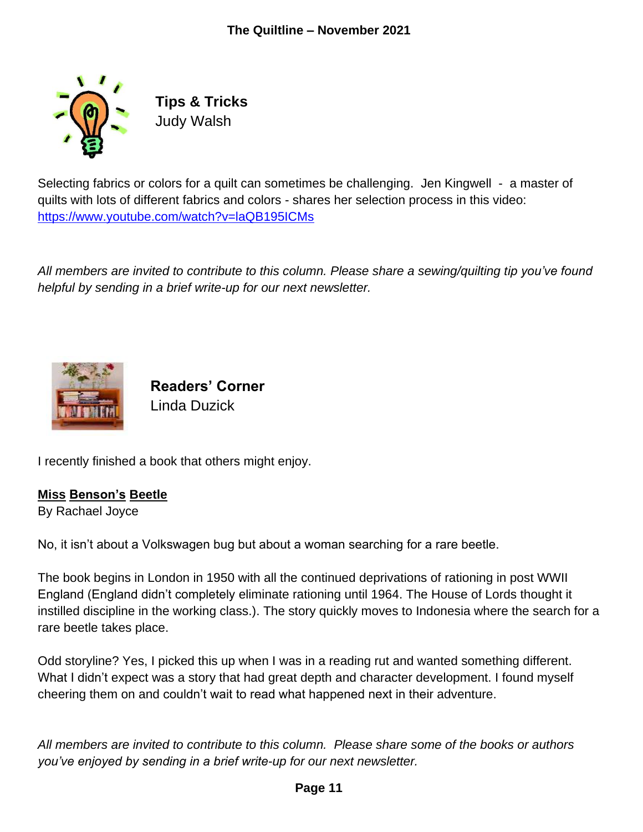

**Tips & Tricks** Judy Walsh

Selecting fabrics or colors for a quilt can sometimes be challenging. Jen Kingwell - a master of quilts with lots of different fabrics and colors - shares her selection process in this video: <https://www.youtube.com/watch?v=laQB195ICMs>

*All members are invited to contribute to this column. Please share a sewing/quilting tip you've found helpful by sending in a brief write-up for our next newsletter.*



**Readers' Corner** Linda Duzick

I recently finished a book that others might enjoy.

#### **Miss Benson's Beetle**

By Rachael Joyce

No, it isn't about a Volkswagen bug but about a woman searching for a rare beetle.

The book begins in London in 1950 with all the continued deprivations of rationing in post WWII England (England didn't completely eliminate rationing until 1964. The House of Lords thought it instilled discipline in the working class.). The story quickly moves to Indonesia where the search for a rare beetle takes place.

Odd storyline? Yes, I picked this up when I was in a reading rut and wanted something different. What I didn't expect was a story that had great depth and character development. I found myself cheering them on and couldn't wait to read what happened next in their adventure.

*All members are invited to contribute to this column. Please share some of the books or authors you've enjoyed by sending in a brief write-up for our next newsletter.*